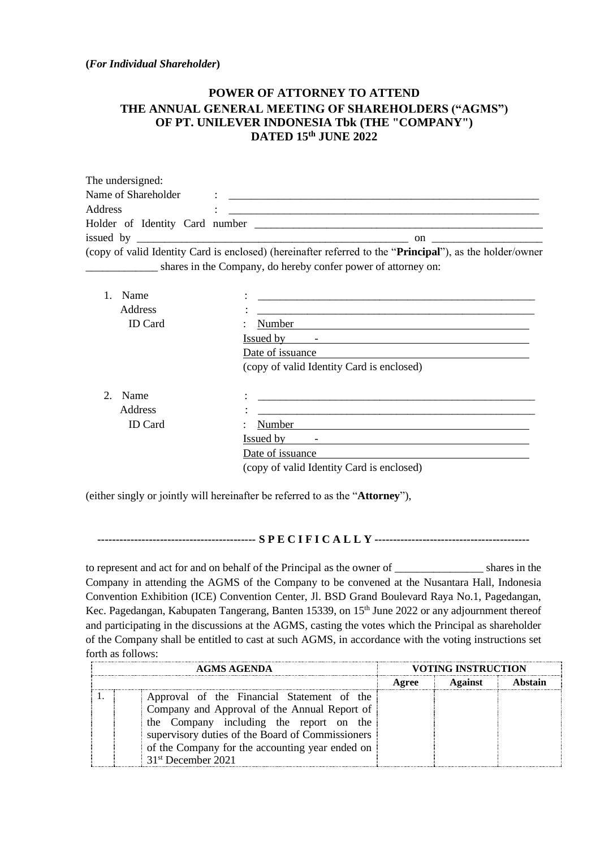**(***For Individual Shareholder***)**

## **POWER OF ATTORNEY TO ATTEND THE ANNUAL GENERAL MEETING OF SHAREHOLDERS ("AGMS") OF PT. UNILEVER INDONESIA Tbk (THE "COMPANY") DATED 15 th JUNE 2022**

| The undersigned:    |                                                                                                                                                                                                                                           |
|---------------------|-------------------------------------------------------------------------------------------------------------------------------------------------------------------------------------------------------------------------------------------|
| Name of Shareholder | $\mathcal{L}^{\mathcal{L}}$ and the set of the set of the set of the set of the set of the set of the set of the set of the set of the set of the set of the set of the set of the set of the set of the set of the set of the set of the |
| Address             |                                                                                                                                                                                                                                           |
|                     |                                                                                                                                                                                                                                           |
|                     | $\mathbf{on}$                                                                                                                                                                                                                             |
|                     | (copy of valid Identity Card is enclosed) (hereinafter referred to the " <b>Principal</b> "), as the holder/owner                                                                                                                         |
|                     | shares in the Company, do hereby confer power of attorney on:                                                                                                                                                                             |

| Name           |                                           |  |
|----------------|-------------------------------------------|--|
| Address        |                                           |  |
| <b>ID</b> Card | Number                                    |  |
|                | Issued by                                 |  |
|                | Date of issuance                          |  |
|                | (copy of valid Identity Card is enclosed) |  |
|                |                                           |  |
| Name<br>2.     |                                           |  |
| <b>Address</b> |                                           |  |
| <b>ID</b> Card | Number                                    |  |
|                | Issued by<br>$\overline{\phantom{0}}$     |  |
|                | Date of issuance                          |  |
|                | (copy of valid Identity Card is enclosed) |  |

(either singly or jointly will hereinafter be referred to as the "**Attorney**"),

## **------------------------------------------- S P E C I F I C A L L Y ------------------------------------------**

to represent and act for and on behalf of the Principal as the owner of \_\_\_\_\_\_\_\_\_\_\_\_\_\_\_\_ shares in the Company in attending the AGMS of the Company to be convened at the Nusantara Hall, Indonesia Convention Exhibition (ICE) Convention Center, Jl. BSD Grand Boulevard Raya No.1, Pagedangan, Kec. Pagedangan, Kabupaten Tangerang, Banten 15339, on 15<sup>th</sup> June 2022 or any adjournment thereof and participating in the discussions at the AGMS, casting the votes which the Principal as shareholder of the Company shall be entitled to cast at such AGMS, in accordance with the voting instructions set forth as follows:

| <b>AGMS AGENDA</b> |                                                                                                                                                                                           | <b>VOTING INSTRUCTION</b> |                |         |
|--------------------|-------------------------------------------------------------------------------------------------------------------------------------------------------------------------------------------|---------------------------|----------------|---------|
|                    |                                                                                                                                                                                           | Agree                     | <b>Against</b> | Abstain |
|                    | Approval of the Financial Statement of the<br>Company and Approval of the Annual Report of<br>the Company including the report on the<br>supervisory duties of the Board of Commissioners |                           |                |         |
|                    | of the Company for the accounting year ended on<br>31 <sup>st</sup> December 2021                                                                                                         |                           |                |         |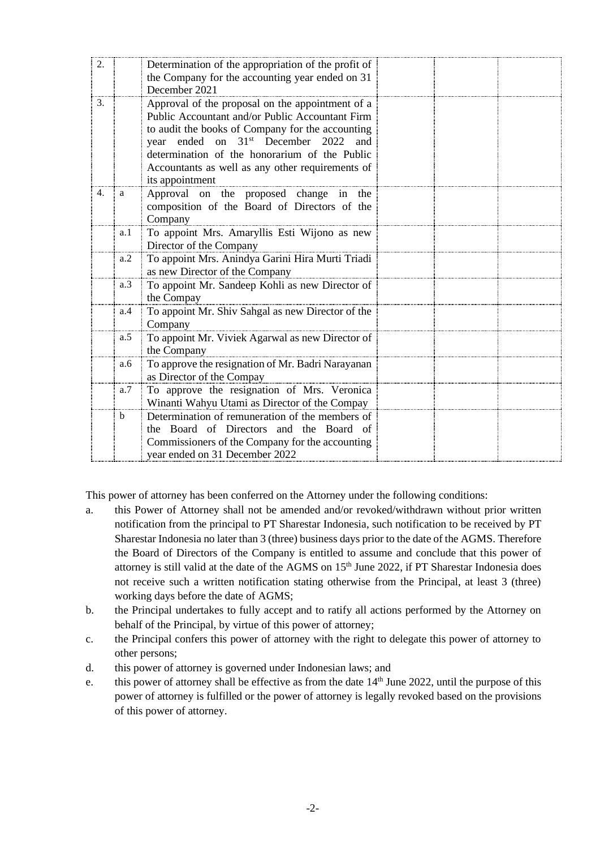| 2. |     | Determination of the appropriation of the profit of<br>the Company for the accounting year ended on 31                                                                                                                                                                          |
|----|-----|---------------------------------------------------------------------------------------------------------------------------------------------------------------------------------------------------------------------------------------------------------------------------------|
| 3. |     | December 2021<br>Approval of the proposal on the appointment of a                                                                                                                                                                                                               |
|    |     | Public Accountant and/or Public Accountant Firm<br>to audit the books of Company for the accounting<br>year ended on 31 <sup>st</sup> December 2022 and<br>determination of the honorarium of the Public<br>Accountants as well as any other requirements of<br>its appointment |
| 4. | a   | Approval on the proposed change in the<br>composition of the Board of Directors of the<br>Company                                                                                                                                                                               |
|    | a.1 | To appoint Mrs. Amaryllis Esti Wijono as new<br>Director of the Company                                                                                                                                                                                                         |
|    | a.2 | To appoint Mrs. Anindya Garini Hira Murti Triadi<br>as new Director of the Company                                                                                                                                                                                              |
|    | a.3 | To appoint Mr. Sandeep Kohli as new Director of<br>the Compay                                                                                                                                                                                                                   |
|    | a.4 | To appoint Mr. Shiv Sahgal as new Director of the<br>Company                                                                                                                                                                                                                    |
|    | a.5 | To appoint Mr. Viviek Agarwal as new Director of<br>the Company                                                                                                                                                                                                                 |
|    | a.6 | To approve the resignation of Mr. Badri Narayanan<br>as Director of the Compay                                                                                                                                                                                                  |
|    | a.7 | To approve the resignation of Mrs. Veronica<br>Winanti Wahyu Utami as Director of the Compay                                                                                                                                                                                    |
|    | b   | Determination of remuneration of the members of<br>the Board of Directors and the Board of<br>Commissioners of the Company for the accounting<br>year ended on 31 December 2022                                                                                                 |

This power of attorney has been conferred on the Attorney under the following conditions:

- a. this Power of Attorney shall not be amended and/or revoked/withdrawn without prior written notification from the principal to PT Sharestar Indonesia, such notification to be received by PT Sharestar Indonesia no later than 3 (three) business days prior to the date of the AGMS. Therefore the Board of Directors of the Company is entitled to assume and conclude that this power of attorney is still valid at the date of the AGMS on 15<sup>th</sup> June 2022, if PT Sharestar Indonesia does not receive such a written notification stating otherwise from the Principal, at least 3 (three) working days before the date of AGMS;
- b. the Principal undertakes to fully accept and to ratify all actions performed by the Attorney on behalf of the Principal, by virtue of this power of attorney;
- c. the Principal confers this power of attorney with the right to delegate this power of attorney to other persons;
- d. this power of attorney is governed under Indonesian laws; and
- e. this power of attorney shall be effective as from the date 14<sup>th</sup> June 2022, until the purpose of this power of attorney is fulfilled or the power of attorney is legally revoked based on the provisions of this power of attorney.